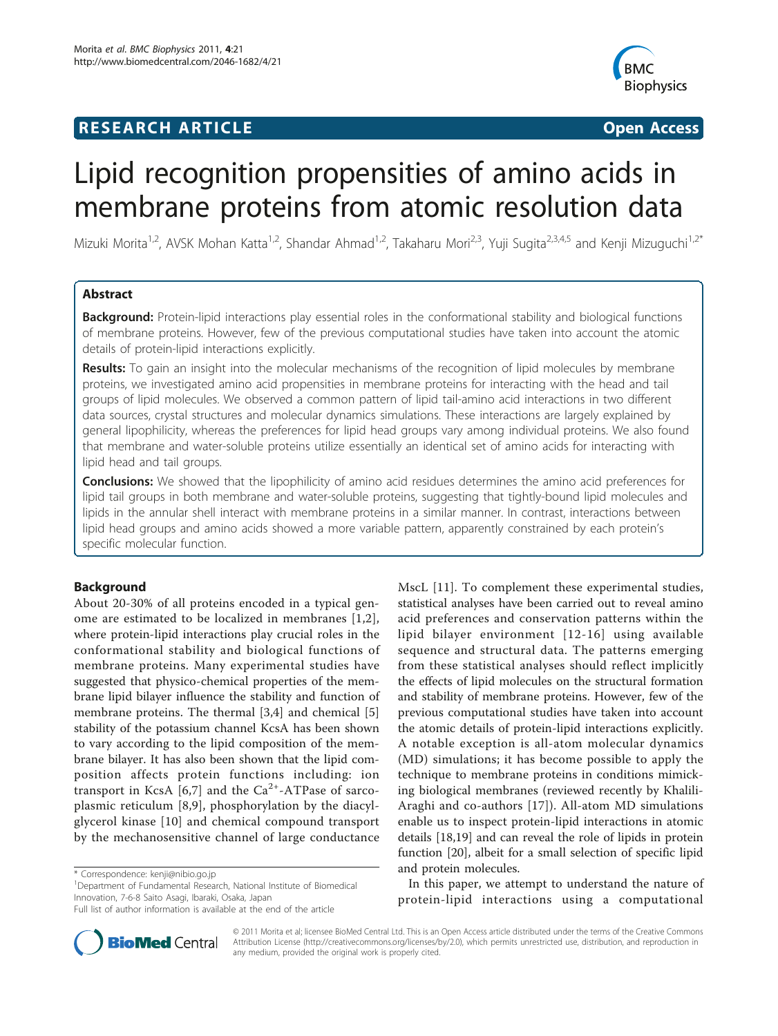# **RESEARCH ARTICLE Example 2018 CONSUMING ACCESS**



# Lipid recognition propensities of amino acids in membrane proteins from atomic resolution data

Mizuki Morita<sup>1,2</sup>, AVSK Mohan Katta<sup>1,2</sup>, Shandar Ahmad<sup>1,2</sup>, Takaharu Mori<sup>2,3</sup>, Yuji Sugita<sup>2,3,4,5</sup> and Kenji Mizuguchi<sup>1,2\*</sup>

# Abstract

Background: Protein-lipid interactions play essential roles in the conformational stability and biological functions of membrane proteins. However, few of the previous computational studies have taken into account the atomic details of protein-lipid interactions explicitly.

Results: To gain an insight into the molecular mechanisms of the recognition of lipid molecules by membrane proteins, we investigated amino acid propensities in membrane proteins for interacting with the head and tail groups of lipid molecules. We observed a common pattern of lipid tail-amino acid interactions in two different data sources, crystal structures and molecular dynamics simulations. These interactions are largely explained by general lipophilicity, whereas the preferences for lipid head groups vary among individual proteins. We also found that membrane and water-soluble proteins utilize essentially an identical set of amino acids for interacting with lipid head and tail groups.

**Conclusions:** We showed that the lipophilicity of amino acid residues determines the amino acid preferences for lipid tail groups in both membrane and water-soluble proteins, suggesting that tightly-bound lipid molecules and lipids in the annular shell interact with membrane proteins in a similar manner. In contrast, interactions between lipid head groups and amino acids showed a more variable pattern, apparently constrained by each protein's specific molecular function.

# Background

About 20-30% of all proteins encoded in a typical genome are estimated to be localized in membranes [[1,2\]](#page-10-0), where protein-lipid interactions play crucial roles in the conformational stability and biological functions of membrane proteins. Many experimental studies have suggested that physico-chemical properties of the membrane lipid bilayer influence the stability and function of membrane proteins. The thermal [[3,4](#page-10-0)] and chemical [\[5](#page-10-0)] stability of the potassium channel KcsA has been shown to vary according to the lipid composition of the membrane bilayer. It has also been shown that the lipid composition affects protein functions including: ion transport in KcsA  $[6,7]$  $[6,7]$  and the Ca<sup>2+</sup>-ATPase of sarcoplasmic reticulum [[8,9\]](#page-10-0), phosphorylation by the diacylglycerol kinase [\[10\]](#page-10-0) and chemical compound transport by the mechanosensitive channel of large conductance

MscL [[11\]](#page-10-0). To complement these experimental studies, statistical analyses have been carried out to reveal amino acid preferences and conservation patterns within the lipid bilayer environment [[12-16](#page-10-0)] using available sequence and structural data. The patterns emerging from these statistical analyses should reflect implicitly the effects of lipid molecules on the structural formation and stability of membrane proteins. However, few of the previous computational studies have taken into account the atomic details of protein-lipid interactions explicitly. A notable exception is all-atom molecular dynamics (MD) simulations; it has become possible to apply the technique to membrane proteins in conditions mimicking biological membranes (reviewed recently by Khalili-Araghi and co-authors [\[17](#page-10-0)]). All-atom MD simulations enable us to inspect protein-lipid interactions in atomic details [[18,19\]](#page-10-0) and can reveal the role of lipids in protein function [\[20](#page-10-0)], albeit for a small selection of specific lipid and protein molecules.

In this paper, we attempt to understand the nature of protein-lipid interactions using a computational



© 2011 Morita et al; licensee BioMed Central Ltd. This is an Open Access article distributed under the terms of the Creative Commons Attribution License [\(http://creativecommons.org/licenses/by/2.0](http://creativecommons.org/licenses/by/2.0)), which permits unrestricted use, distribution, and reproduction in any medium, provided the original work is properly cited.

<sup>\*</sup> Correspondence: [kenji@nibio.go.jp](mailto:kenji@nibio.go.jp)

<sup>&</sup>lt;sup>1</sup>Department of Fundamental Research, National Institute of Biomedical Innovation, 7-6-8 Saito Asagi, Ibaraki, Osaka, Japan

Full list of author information is available at the end of the article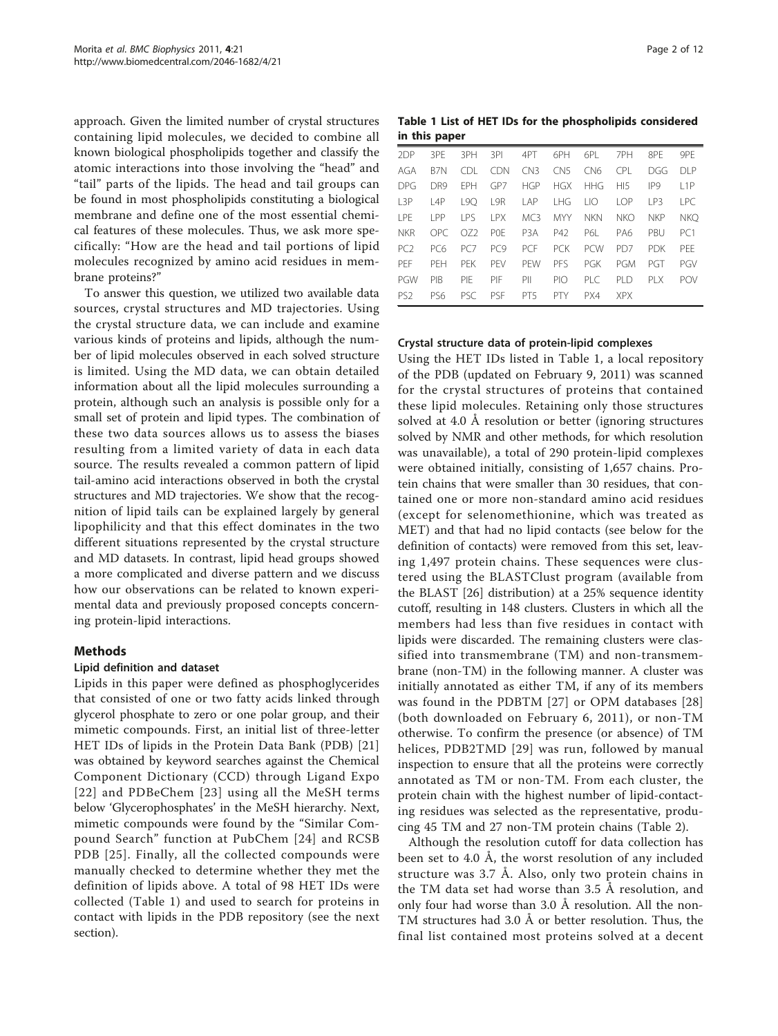approach. Given the limited number of crystal structures containing lipid molecules, we decided to combine all known biological phospholipids together and classify the atomic interactions into those involving the "head" and "tail" parts of the lipids. The head and tail groups can be found in most phospholipids constituting a biological membrane and define one of the most essential chemical features of these molecules. Thus, we ask more specifically: "How are the head and tail portions of lipid molecules recognized by amino acid residues in membrane proteins?"

To answer this question, we utilized two available data sources, crystal structures and MD trajectories. Using the crystal structure data, we can include and examine various kinds of proteins and lipids, although the number of lipid molecules observed in each solved structure is limited. Using the MD data, we can obtain detailed information about all the lipid molecules surrounding a protein, although such an analysis is possible only for a small set of protein and lipid types. The combination of these two data sources allows us to assess the biases resulting from a limited variety of data in each data source. The results revealed a common pattern of lipid tail-amino acid interactions observed in both the crystal structures and MD trajectories. We show that the recognition of lipid tails can be explained largely by general lipophilicity and that this effect dominates in the two different situations represented by the crystal structure and MD datasets. In contrast, lipid head groups showed a more complicated and diverse pattern and we discuss how our observations can be related to known experimental data and previously proposed concepts concerning protein-lipid interactions.

#### Methods

#### Lipid definition and dataset

Lipids in this paper were defined as phosphoglycerides that consisted of one or two fatty acids linked through glycerol phosphate to zero or one polar group, and their mimetic compounds. First, an initial list of three-letter HET IDs of lipids in the Protein Data Bank (PDB) [\[21](#page-10-0)] was obtained by keyword searches against the Chemical Component Dictionary (CCD) through Ligand Expo [[22\]](#page-10-0) and PDBeChem [[23\]](#page-10-0) using all the MeSH terms below 'Glycerophosphates' in the MeSH hierarchy. Next, mimetic compounds were found by the "Similar Compound Search" function at PubChem [\[24](#page-10-0)] and RCSB PDB [[25](#page-10-0)]. Finally, all the collected compounds were manually checked to determine whether they met the definition of lipids above. A total of 98 HET IDs were collected (Table 1) and used to search for proteins in contact with lipids in the PDB repository (see the next section).

Table 1 List of HET IDs for the phospholipids considered in this paper

| 2DP              | 3PF             | 3PH        | 3PI        | 4PT              | 6PH             | 6PL              | 7PH             | 8PF             | 9PF             |
|------------------|-----------------|------------|------------|------------------|-----------------|------------------|-----------------|-----------------|-----------------|
| AGA              | B <sub>7N</sub> | CDL.       | - CDN      | CN3              | CN <sub>5</sub> | CN <sub>6</sub>  | CPI.            | DGG             | DI P            |
| <b>DPG</b>       | D <sub>R9</sub> | <b>FPH</b> | GP7        | <b>HGP</b>       | <b>HGX</b>      | <b>HHG</b>       | H15             | IP <sub>9</sub> | 11P             |
| L <sub>3</sub> P | 14P             | 190        | L9R        | I AP             | I HG            | $\overline{110}$ | LOP             | IP3             | I PC.           |
| LPE              | I PP            | <b>IPS</b> | I PX       | MC <sub>3</sub>  | <b>MYY</b>      | <b>NKN</b>       | <b>NKO</b>      | <b>NKP</b>      | <b>NKO</b>      |
| <b>NKR</b>       | OPC.            | 072        | <b>POF</b> | P <sub>3</sub> A | P42             | P61              | PA6             | PRU             | PC <sub>1</sub> |
| PC <sub>2</sub>  | PC <sub>6</sub> | PC7        | PC9        | <b>PCF</b>       | <b>PCK</b>      | <b>PCW</b>       | PD <sub>7</sub> | <b>PDK</b>      | <b>PFF</b>      |
| PFF              | PFH             | <b>PFK</b> | PFV        | PFW              | PFS             | PGK              | <b>PGM</b>      | PGT             | PGV             |
| PGW              | PIB             | PIF        | PIF        | PII              | PIO             | PIC              | PID             | PI X            | <b>POV</b>      |
| PS <sub>2</sub>  | PS6             | PSC.       | <b>PSF</b> | PT <sub>5</sub>  | <b>PTY</b>      | PX4              | <b>XPX</b>      |                 |                 |

#### Crystal structure data of protein-lipid complexes

Using the HET IDs listed in Table 1, a local repository of the PDB (updated on February 9, 2011) was scanned for the crystal structures of proteins that contained these lipid molecules. Retaining only those structures solved at 4.0 Å resolution or better (ignoring structures solved by NMR and other methods, for which resolution was unavailable), a total of 290 protein-lipid complexes were obtained initially, consisting of 1,657 chains. Protein chains that were smaller than 30 residues, that contained one or more non-standard amino acid residues (except for selenomethionine, which was treated as MET) and that had no lipid contacts (see below for the definition of contacts) were removed from this set, leaving 1,497 protein chains. These sequences were clustered using the BLASTClust program (available from the BLAST [\[26](#page-10-0)] distribution) at a 25% sequence identity cutoff, resulting in 148 clusters. Clusters in which all the members had less than five residues in contact with lipids were discarded. The remaining clusters were classified into transmembrane (TM) and non-transmembrane (non-TM) in the following manner. A cluster was initially annotated as either TM, if any of its members was found in the PDBTM [\[27\]](#page-10-0) or OPM databases [\[28](#page-10-0)] (both downloaded on February 6, 2011), or non-TM otherwise. To confirm the presence (or absence) of TM helices, PDB2TMD [[29](#page-10-0)] was run, followed by manual inspection to ensure that all the proteins were correctly annotated as TM or non-TM. From each cluster, the protein chain with the highest number of lipid-contacting residues was selected as the representative, producing 45 TM and 27 non-TM protein chains (Table [2](#page-2-0)).

Although the resolution cutoff for data collection has been set to 4.0 Å, the worst resolution of any included structure was 3.7 Å. Also, only two protein chains in the TM data set had worse than 3.5 Å resolution, and only four had worse than 3.0 Å resolution. All the non-TM structures had 3.0 Å or better resolution. Thus, the final list contained most proteins solved at a decent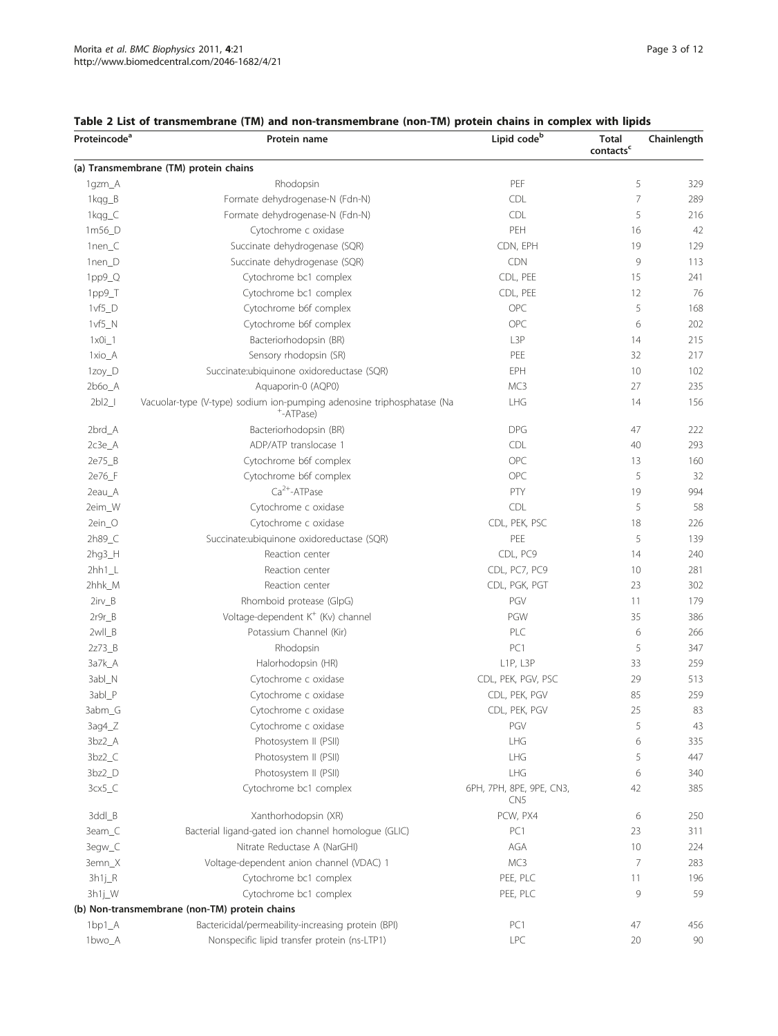| Proteincode <sup>a</sup> | Protein name                                                                        | Lipid code <sup>b</sup>                     | <b>Total</b><br>$\mathsf{contacts}^{\mathsf{c}}$ | Chainlength |
|--------------------------|-------------------------------------------------------------------------------------|---------------------------------------------|--------------------------------------------------|-------------|
|                          | (a) Transmembrane (TM) protein chains                                               |                                             |                                                  |             |
| 1gzm_A                   | Rhodopsin                                                                           | PEF                                         | 5                                                | 329         |
| 1kqg_B                   | Formate dehydrogenase-N (Fdn-N)                                                     | CDL                                         | 7                                                | 289         |
| 1kqg_C                   | Formate dehydrogenase-N (Fdn-N)                                                     | CDL                                         | 5                                                | 216         |
| 1m56_D                   | Cytochrome c oxidase                                                                | PEH                                         | 16                                               | 42          |
| 1nen_C                   | Succinate dehydrogenase (SQR)                                                       | CDN, EPH                                    | 19                                               | 129         |
| 1nen_D                   | Succinate dehydrogenase (SQR)                                                       | <b>CDN</b>                                  | 9                                                | 113         |
| 1pp9_Q                   | Cytochrome bc1 complex                                                              | CDL, PEE                                    | 15                                               | 241         |
| 1pp9_T                   | Cytochrome bc1 complex                                                              | CDL, PEE                                    | 12                                               | 76          |
| $1vf5_D$                 | Cytochrome b6f complex                                                              | OPC                                         | 5                                                | 168         |
| $1vf5_N$                 | Cytochrome b6f complex                                                              | OPC                                         | 6                                                | 202         |
| $1 \times 0i - 1$        | Bacteriorhodopsin (BR)                                                              | L3P                                         | 14                                               | 215         |
| 1xio_A                   | Sensory rhodopsin (SR)                                                              | PEE                                         | 32                                               | 217         |
| 1zoy_D                   | Succinate:ubiquinone oxidoreductase (SQR)                                           | EPH                                         | 10                                               | 102         |
| $2b6o_A$                 | Aquaporin-0 (AQP0)                                                                  | MC3                                         | 27                                               | 235         |
| 2b12                     | Vacuolar-type (V-type) sodium ion-pumping adenosine triphosphatase (Na<br>+-ATPase) | <b>LHG</b>                                  | 14                                               | 156         |
| 2brd_A                   | Bacteriorhodopsin (BR)                                                              | <b>DPG</b>                                  | 47                                               | 222         |
| $2c3e$ $A$               | ADP/ATP translocase 1                                                               | <b>CDL</b>                                  | 40                                               | 293         |
| 2e75_B                   | Cytochrome b6f complex                                                              | OPC                                         | 13                                               | 160         |
| 2e76_F                   | Cytochrome b6f complex                                                              | OPC                                         | 5                                                | 32          |
| 2eau_A                   | $Ca2+-ATPase$                                                                       | PTY                                         | 19                                               | 994         |
| 2eim_W                   | Cytochrome c oxidase                                                                | CDL                                         | 5                                                | 58          |
| 2ein_O                   | Cytochrome c oxidase                                                                | CDL, PEK, PSC                               | 18                                               | 226         |
| 2h89_C                   | Succinate:ubiquinone oxidoreductase (SQR)                                           | PEE                                         | 5                                                | 139         |
| $2hg3_H$                 | Reaction center                                                                     | CDL, PC9                                    | 14                                               | 240         |
| $2hh1_l$                 | Reaction center                                                                     | CDL, PC7, PC9                               | 10                                               | 281         |
| 2hhk_M                   | Reaction center                                                                     | CDL, PGK, PGT                               | 23                                               | 302         |
| $2irv_B$                 | Rhomboid protease (GlpG)                                                            | PGV                                         | 11                                               | 179         |
| $2r9r_B$                 | Voltage-dependent K <sup>+</sup> (Kv) channel                                       | PGW                                         | 35                                               | 386         |
| 2wll_B                   | Potassium Channel (Kir)                                                             | PLC                                         | 6                                                | 266         |
| 2z73_B                   | Rhodopsin                                                                           | PC1                                         | 5                                                | 347         |
| 3a7k_A                   | Halorhodopsin (HR)                                                                  | L1P, L3P                                    | 33                                               | 259         |
| 3abl_N                   | Cytochrome c oxidase                                                                | CDL, PEK, PGV, PSC                          | 29                                               | 513         |
| 3abl_P                   | Cytochrome c oxidase                                                                | CDL, PEK, PGV                               | 85                                               | 259         |
| 3abm_G                   | Cytochrome c oxidase                                                                | CDL, PEK, PGV                               | 25                                               | 83          |
|                          |                                                                                     | PGV                                         | 5                                                |             |
| $3aq4_Z$                 | Cytochrome c oxidase                                                                |                                             |                                                  | 43          |
| 3bz2_A                   | Photosystem II (PSII)                                                               | LHG                                         | 6                                                | 335         |
| $3bz2_C$                 | Photosystem II (PSII)                                                               | LHG                                         | 5                                                | 447         |
| 3bz2_D                   | Photosystem II (PSII)                                                               | LHG                                         | 6                                                | 340         |
| $3cx5_C$                 | Cytochrome bc1 complex                                                              | 6PH, 7PH, 8PE, 9PE, CN3,<br>CN <sub>5</sub> | 42                                               | 385         |
| 3ddl_B                   | Xanthorhodopsin (XR)                                                                | PCW, PX4                                    | 6                                                | 250         |
| 3eam_C                   | Bacterial ligand-gated ion channel homologue (GLIC)                                 | PC1                                         | 23                                               | 311         |
| 3egw_C                   | Nitrate Reductase A (NarGHI)                                                        | AGA                                         | 10                                               | 224         |
| 3emn_X                   | Voltage-dependent anion channel (VDAC) 1                                            | MC3                                         | 7                                                | 283         |
| 3h1j_R                   | Cytochrome bc1 complex                                                              | PEE, PLC                                    | 11                                               | 196         |
| 3h1j_W                   | Cytochrome bc1 complex                                                              | PEE, PLC                                    | 9                                                | 59          |
|                          | (b) Non-transmembrane (non-TM) protein chains                                       |                                             |                                                  |             |
| $1bp1_A$                 | Bactericidal/permeability-increasing protein (BPI)                                  | PC1                                         | 47                                               | 456         |
| 1bwo_A                   | Nonspecific lipid transfer protein (ns-LTP1)                                        | <b>LPC</b>                                  | 20                                               | 90          |

# <span id="page-2-0"></span>Table 2 List of transmembrane (TM) and non-transmembrane (non-TM) protein chains in complex with lipids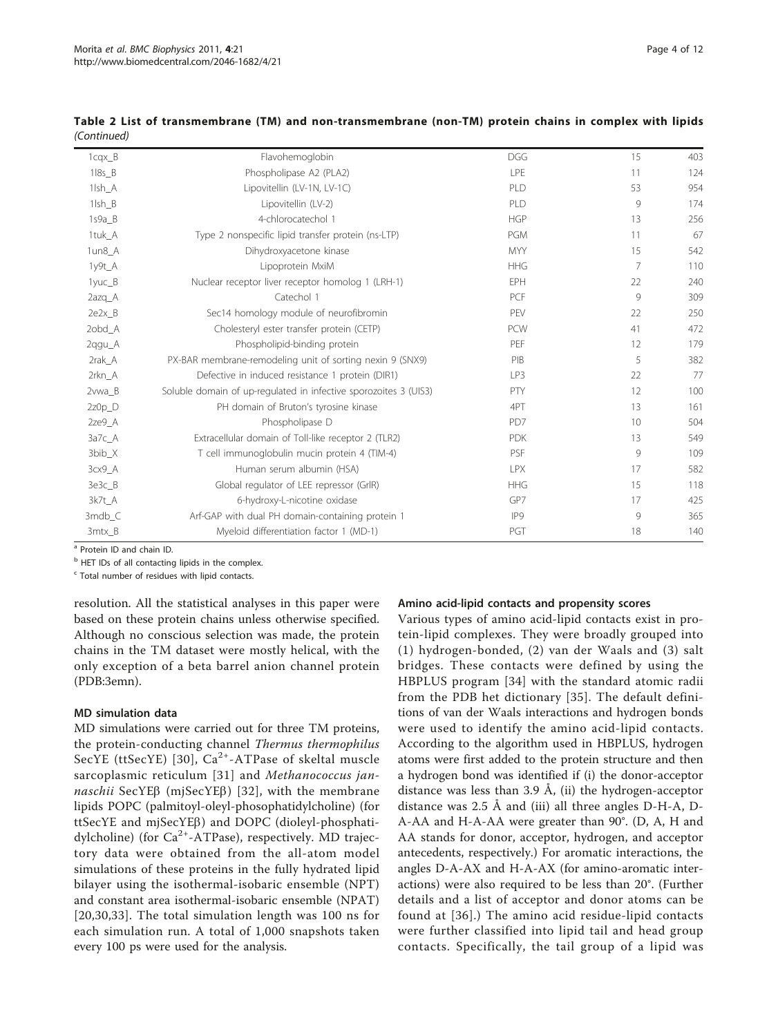| Table 2 List of transmembrane (TM) and non-transmembrane (non-TM) protein chains in complex with lipids |  |  |  |  |
|---------------------------------------------------------------------------------------------------------|--|--|--|--|
| (Continued)                                                                                             |  |  |  |  |

| $1cqx$ $B$          | Flavohemoglobin                                                  | <b>DGG</b> | 15             | 403 |
|---------------------|------------------------------------------------------------------|------------|----------------|-----|
| $118s$ <sub>B</sub> | Phospholipase A2 (PLA2)                                          | LPE        | 11             | 124 |
| 1lsh_A              | Lipovitellin (LV-1N, LV-1C)                                      | PLD        | 53             | 954 |
| 1lsh B              | Lipovitellin (LV-2)                                              | PLD        | 9              | 174 |
| 1s9a B              | 4-chlorocatechol 1                                               | <b>HGP</b> | 13             | 256 |
| 1tuk A              | Type 2 nonspecific lipid transfer protein (ns-LTP)               | <b>PGM</b> | 11             | 67  |
| 1un8_A              | Dihydroxyacetone kinase                                          | <b>MYY</b> | 15             | 542 |
| 1y9t_A              | Lipoprotein MxiM                                                 | <b>HHG</b> | $\overline{7}$ | 110 |
| 1yuc_B              | Nuclear receptor liver receptor homolog 1 (LRH-1)                | EPH        | 22             | 240 |
| 2azq_A              | Catechol 1                                                       | PCF        | $\circ$        | 309 |
| 2e2x B              | Sec14 homology module of neurofibromin                           | PEV        | 22             | 250 |
| 2obd_A              | Cholesteryl ester transfer protein (CETP)                        | <b>PCW</b> | 41             | 472 |
| 2qgu_A              | Phospholipid-binding protein                                     | PEF        | 12             | 179 |
| 2rak_A              | PX-BAR membrane-remodeling unit of sorting nexin 9 (SNX9)        | PIB        | 5              | 382 |
| 2rkn_A              | Defective in induced resistance 1 protein (DIR1)                 | LP3        | 22             | 77  |
| 2vwa B              | Soluble domain of up-regulated in infective sporozoites 3 (UIS3) | PTY        | 12             | 100 |
| $2z0p_D$            | PH domain of Bruton's tyrosine kinase                            | 4PT        | 13             | 161 |
| 2ze9_A              | Phospholipase D                                                  | PD7        | 10             | 504 |
| 3a7c A              | Extracellular domain of Toll-like receptor 2 (TLR2)              | <b>PDK</b> | 13             | 549 |
| 3bib_X              | T cell immunoglobulin mucin protein 4 (TIM-4)                    | PSF        | 9              | 109 |
| 3cx9_A              | Human serum albumin (HSA)                                        | <b>LPX</b> | 17             | 582 |
| 3e3c_B              | Global regulator of LEE repressor (GrIR)                         | <b>HHG</b> | 15             | 118 |
| 3k7t A              | 6-hydroxy-L-nicotine oxidase                                     | GP7        | 17             | 425 |
| $3mdb$ $C$          | Arf-GAP with dual PH domain-containing protein 1                 | IP9        | 9              | 365 |
| 3mtx_B              | Myeloid differentiation factor 1 (MD-1)                          | PGT        | 18             | 140 |

a Protein ID and chain ID.

<sup>b</sup> HET IDs of all contacting lipids in the complex.

 $c$  Total number of residues with lipid contacts.

resolution. All the statistical analyses in this paper were based on these protein chains unless otherwise specified. Although no conscious selection was made, the protein chains in the TM dataset were mostly helical, with the only exception of a beta barrel anion channel protein (PDB:3emn).

# MD simulation data

MD simulations were carried out for three TM proteins, the protein-conducting channel Thermus thermophilus SecYE (ttSecYE) [\[30\]](#page-10-0),  $Ca^{2+}-ATP$ ase of skeltal muscle sarcoplasmic reticulum [[31\]](#page-10-0) and Methanococcus jan $naschii$  SecYE $\beta$  (mjSecYE $\beta$ ) [[32](#page-10-0)], with the membrane lipids POPC (palmitoyl-oleyl-phosophatidylcholine) (for ttSecYE and mjSecYEb) and DOPC (dioleyl-phosphatidylcholine) (for  $Ca^{2+}-ATPase$ ), respectively. MD trajectory data were obtained from the all-atom model simulations of these proteins in the fully hydrated lipid bilayer using the isothermal-isobaric ensemble (NPT) and constant area isothermal-isobaric ensemble (NPAT) [[20](#page-10-0),[30](#page-10-0)[,33\]](#page-11-0). The total simulation length was 100 ns for each simulation run. A total of 1,000 snapshots taken every 100 ps were used for the analysis.

# Amino acid-lipid contacts and propensity scores

Various types of amino acid-lipid contacts exist in protein-lipid complexes. They were broadly grouped into (1) hydrogen-bonded, (2) van der Waals and (3) salt bridges. These contacts were defined by using the HBPLUS program [[34\]](#page-11-0) with the standard atomic radii from the PDB het dictionary [[35](#page-11-0)]. The default definitions of van der Waals interactions and hydrogen bonds were used to identify the amino acid-lipid contacts. According to the algorithm used in HBPLUS, hydrogen atoms were first added to the protein structure and then a hydrogen bond was identified if (i) the donor-acceptor distance was less than  $3.9$  Å, (ii) the hydrogen-acceptor distance was 2.5 Å and (iii) all three angles D-H-A, D-A-AA and H-A-AA were greater than 90°. (D, A, H and AA stands for donor, acceptor, hydrogen, and acceptor antecedents, respectively.) For aromatic interactions, the angles D-A-AX and H-A-AX (for amino-aromatic interactions) were also required to be less than 20°. (Further details and a list of acceptor and donor atoms can be found at [[36](#page-11-0)].) The amino acid residue-lipid contacts were further classified into lipid tail and head group contacts. Specifically, the tail group of a lipid was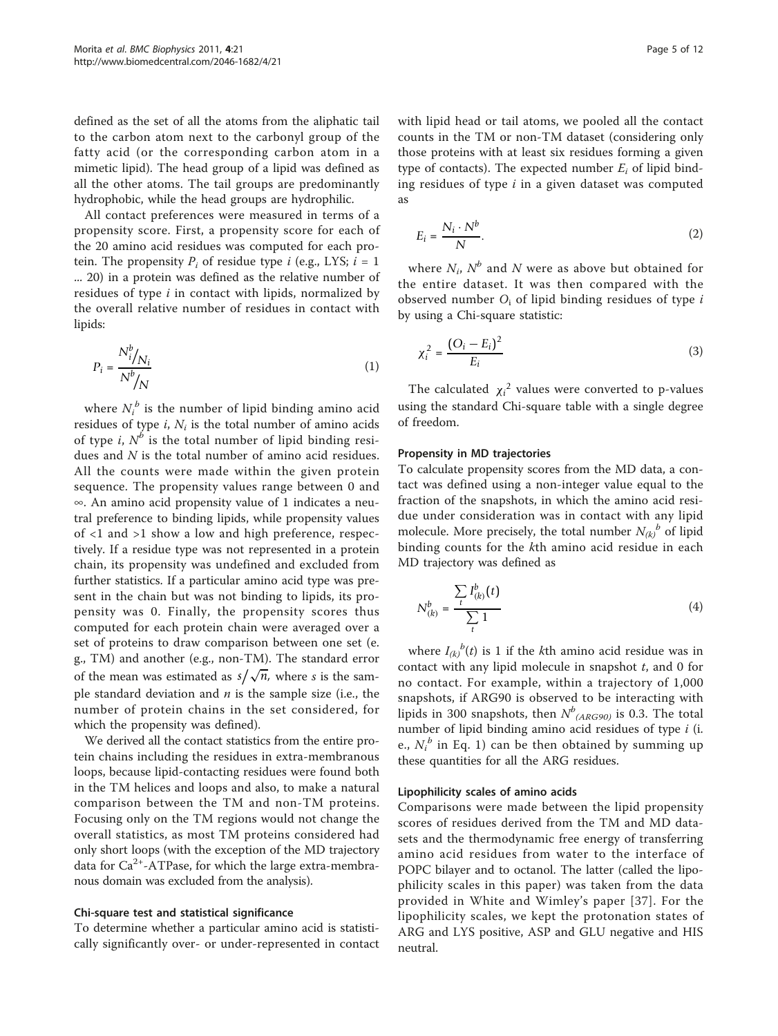defined as the set of all the atoms from the aliphatic tail to the carbon atom next to the carbonyl group of the fatty acid (or the corresponding carbon atom in a mimetic lipid). The head group of a lipid was defined as all the other atoms. The tail groups are predominantly hydrophobic, while the head groups are hydrophilic.

All contact preferences were measured in terms of a propensity score. First, a propensity score for each of the 20 amino acid residues was computed for each protein. The propensity  $P_i$  of residue type i (e.g., LYS;  $i = 1$ ) ... 20) in a protein was defined as the relative number of residues of type  $i$  in contact with lipids, normalized by the overall relative number of residues in contact with lipids:

$$
P_i = \frac{N_i^b / N_i}{N^b / N}
$$
\n<sup>(1)</sup>

where  $N_i^{\,b}$  is the number of lipid binding amino acid residues of type  $i$ ,  $N_i$  is the total number of amino acids of type i,  $N^b$  is the total number of lipid binding residues and N is the total number of amino acid residues. All the counts were made within the given protein sequence. The propensity values range between 0 and ∞. An amino acid propensity value of 1 indicates a neutral preference to binding lipids, while propensity values of <1 and >1 show a low and high preference, respectively. If a residue type was not represented in a protein chain, its propensity was undefined and excluded from further statistics. If a particular amino acid type was present in the chain but was not binding to lipids, its propensity was 0. Finally, the propensity scores thus computed for each protein chain were averaged over a set of proteins to draw comparison between one set (e. g., TM) and another (e.g., non-TM). The standard error of the mean was estimated as  $s/\sqrt{n}$ , where s is the sample standard deviation and  $n$  is the sample size (i.e., the number of protein chains in the set considered, for which the propensity was defined).

We derived all the contact statistics from the entire protein chains including the residues in extra-membranous loops, because lipid-contacting residues were found both in the TM helices and loops and also, to make a natural comparison between the TM and non-TM proteins. Focusing only on the TM regions would not change the overall statistics, as most TM proteins considered had only short loops (with the exception of the MD trajectory data for  $Ca^{2+}-ATP$ ase, for which the large extra-membranous domain was excluded from the analysis).

#### Chi-square test and statistical significance

To determine whether a particular amino acid is statistically significantly over- or under-represented in contact with lipid head or tail atoms, we pooled all the contact counts in the TM or non-TM dataset (considering only those proteins with at least six residues forming a given type of contacts). The expected number  $E_i$  of lipid binding residues of type  $i$  in a given dataset was computed as

$$
E_i = \frac{N_i \cdot N^b}{N}.\tag{2}
$$

where  $N_i$ ,  $N^b$  and N were as above but obtained for the entire dataset. It was then compared with the observed number  $O_i$  of lipid binding residues of type i by using a Chi-square statistic:

$$
\chi_i^2 = \frac{(O_i - E_i)^2}{E_i} \tag{3}
$$

The calculated  $\chi_i^2$  values were converted to p-values using the standard Chi-square table with a single degree of freedom.

#### Propensity in MD trajectories

To calculate propensity scores from the MD data, a contact was defined using a non-integer value equal to the fraction of the snapshots, in which the amino acid residue under consideration was in contact with any lipid molecule. More precisely, the total number  $N_{(k)}^b$  of lipid binding counts for the kth amino acid residue in each MD trajectory was defined as

$$
N_{(k)}^{b} = \frac{\sum_{t} I_{(k)}^{b}(t)}{\sum_{t} 1}
$$
 (4)

where  $I_{(k)}^{b}(t)$  is 1 if the kth amino acid residue was in contact with any lipid molecule in snapshot  $t$ , and  $0$  for no contact. For example, within a trajectory of 1,000 snapshots, if ARG90 is observed to be interacting with lipids in 300 snapshots, then  $N^b$ <sub>(ARG90)</sub> is 0.3. The total number of lipid binding amino acid residues of type i (i. e.,  $N_i^b$  in Eq. 1) can be then obtained by summing up these quantities for all the ARG residues.

#### Lipophilicity scales of amino acids

Comparisons were made between the lipid propensity scores of residues derived from the TM and MD datasets and the thermodynamic free energy of transferring amino acid residues from water to the interface of POPC bilayer and to octanol. The latter (called the lipophilicity scales in this paper) was taken from the data provided in White and Wimley's paper [[37\]](#page-11-0). For the lipophilicity scales, we kept the protonation states of ARG and LYS positive, ASP and GLU negative and HIS neutral.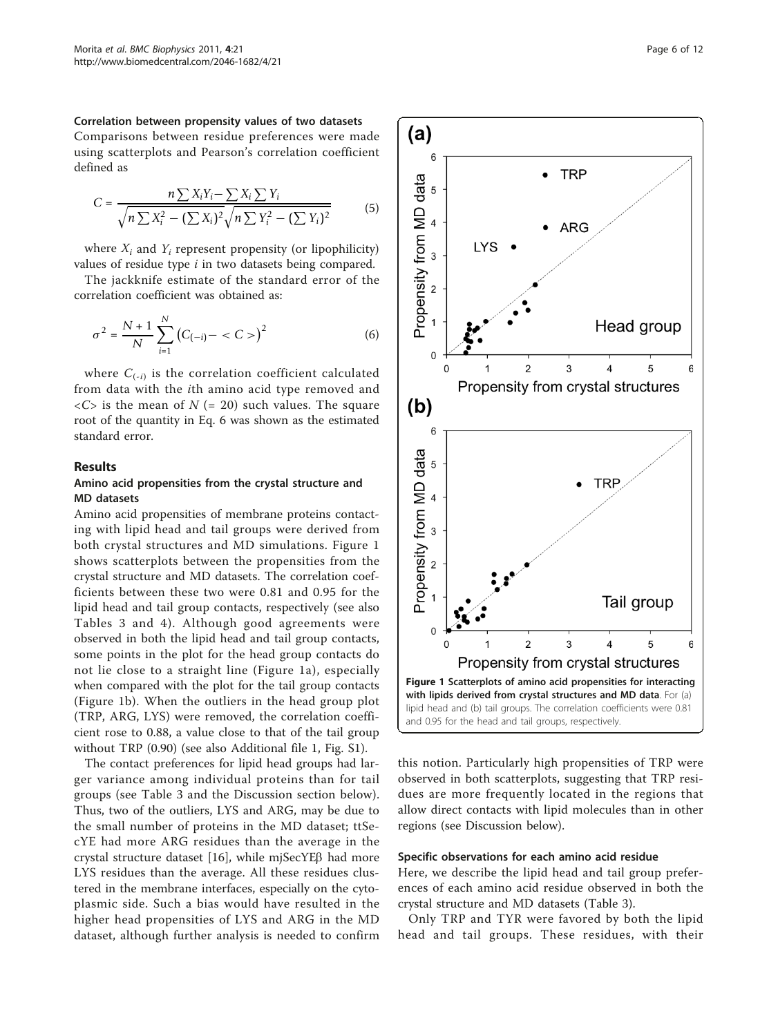<span id="page-5-0"></span>Correlation between propensity values of two datasets Comparisons between residue preferences were made using scatterplots and Pearson's correlation coefficient defined as

$$
C = \frac{n \sum X_i Y_i - \sum X_i \sum Y_i}{\sqrt{n \sum X_i^2 - (\sum X_i)^2} \sqrt{n \sum Y_i^2 - (\sum Y_i)^2}}
$$
(5)

where  $X_i$  and  $Y_i$  represent propensity (or lipophilicity) values of residue type  $i$  in two datasets being compared.

The jackknife estimate of the standard error of the correlation coefficient was obtained as:

$$
\sigma^2 = \frac{N+1}{N} \sum_{i=1}^{N} (C_{(-i)} - )^2
$$
 (6)

where  $C_{(-i)}$  is the correlation coefficient calculated from data with the ith amino acid type removed and  $\langle C \rangle$  is the mean of  $N$  (= 20) such values. The square root of the quantity in Eq. 6 was shown as the estimated standard error.

#### Results

# Amino acid propensities from the crystal structure and MD datasets

Amino acid propensities of membrane proteins contacting with lipid head and tail groups were derived from both crystal structures and MD simulations. Figure 1 shows scatterplots between the propensities from the crystal structure and MD datasets. The correlation coefficients between these two were 0.81 and 0.95 for the lipid head and tail group contacts, respectively (see also Tables [3](#page-6-0) and [4](#page-6-0)). Although good agreements were observed in both the lipid head and tail group contacts, some points in the plot for the head group contacts do not lie close to a straight line (Figure 1a), especially when compared with the plot for the tail group contacts (Figure 1b). When the outliers in the head group plot (TRP, ARG, LYS) were removed, the correlation coefficient rose to 0.88, a value close to that of the tail group without TRP (0.90) (see also Additional file [1](#page-10-0), Fig. S1).

The contact preferences for lipid head groups had larger variance among individual proteins than for tail groups (see Table [3](#page-6-0) and the Discussion section below). Thus, two of the outliers, LYS and ARG, may be due to the small number of proteins in the MD dataset; ttSecYE had more ARG residues than the average in the crystal structure dataset [\[16](#page-10-0)], while mjSecYE $\beta$  had more LYS residues than the average. All these residues clustered in the membrane interfaces, especially on the cytoplasmic side. Such a bias would have resulted in the higher head propensities of LYS and ARG in the MD dataset, although further analysis is needed to confirm



this notion. Particularly high propensities of TRP were observed in both scatterplots, suggesting that TRP residues are more frequently located in the regions that allow direct contacts with lipid molecules than in other regions (see Discussion below).

#### Specific observations for each amino acid residue

Here, we describe the lipid head and tail group preferences of each amino acid residue observed in both the crystal structure and MD datasets (Table [3](#page-6-0)).

Only TRP and TYR were favored by both the lipid head and tail groups. These residues, with their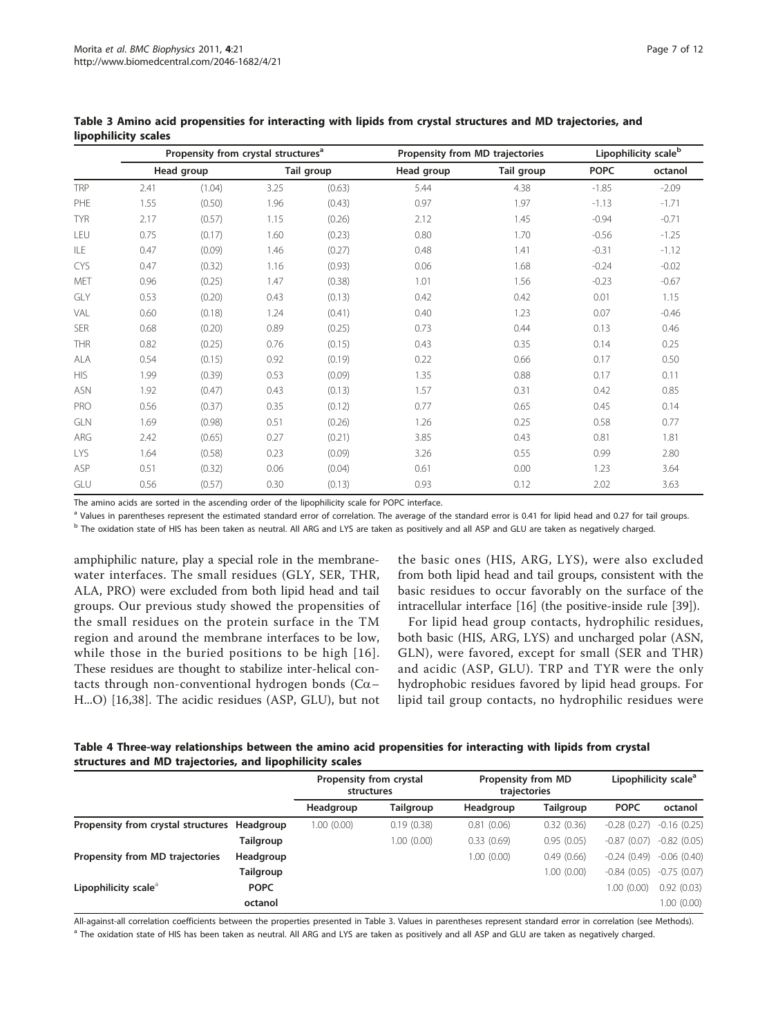<span id="page-6-0"></span>

|            |      | Propensity from crystal structures <sup>a</sup> |      |            |      | Propensity from MD trajectories |            |             |         |  |
|------------|------|-------------------------------------------------|------|------------|------|---------------------------------|------------|-------------|---------|--|
|            |      | Head group                                      |      | Tail group |      | Head group                      | Tail group | <b>POPC</b> | octanol |  |
| TRP        | 2.41 | (1.04)                                          | 3.25 | (0.63)     | 5.44 | 4.38                            | $-1.85$    | $-2.09$     |         |  |
| PHF        | 1.55 | (0.50)                                          | 1.96 | (0.43)     | 0.97 | 1.97                            | $-1.13$    | $-1.71$     |         |  |
| <b>TYR</b> | 2.17 | (0.57)                                          | 1.15 | (0.26)     | 2.12 | 1.45                            | $-0.94$    | $-0.71$     |         |  |
| LEU        | 0.75 | (0.17)                                          | 1.60 | (0.23)     | 0.80 | 1.70                            | $-0.56$    | $-1.25$     |         |  |
| ILE        | 0.47 | (0.09)                                          | 1.46 | (0.27)     | 0.48 | 1.41                            | $-0.31$    | $-1.12$     |         |  |
| <b>CYS</b> | 0.47 | (0.32)                                          | 1.16 | (0.93)     | 0.06 | 1.68                            | $-0.24$    | $-0.02$     |         |  |
| <b>MFT</b> | 0.96 | (0.25)                                          | 1.47 | (0.38)     | 1.01 | 1.56                            | $-0.23$    | $-0.67$     |         |  |

Table 3 Amino acid p lipophilicity scales

The amino acids are sorted in the ascending order of the lipophilicity scale for POPC interface.

<sup>a</sup> Values in parentheses represent the estimated standard error of correlation. The average of the standard error is 0.41 for lipid head and 0.27 for tail groups.

GLY 0.53 (0.20) 0.43 (0.13) 0.42 0.42 0.01 1.15 VAL 0.60 (0.18) 1.24 (0.41) 0.40 1.23 0.07 -0.46 SER 0.68 (0.20) 0.89 (0.25) 0.73 0.44 0.13 0.46 THR 0.82 (0.25) 0.76 (0.15) 0.43 0.35 0.14 0.25 ALA 0.54 (0.15) 0.92 (0.19) 0.22 0.66 0.17 0.50 HIS 1.99 (0.39) 0.53 (0.09) 1.35 0.88 0.17 0.11 ASN 1.92 (0.47) 0.43 (0.13) 1.57 0.31 0.42 0.85 PRO 0.56 (0.37) 0.35 (0.12) 0.77 0.65 0.45 0.14 GLN 1.69 (0.98) 0.51 (0.26) 1.26 0.25 0.58 0.77 ARG 2.42 (0.65) 0.27 (0.21) 3.85 0.43 0.81 1.81 LYS 1.64 (0.58) 0.23 (0.09) 3.26 0.55 0.99 2.80 ASP 0.51 (0.32) 0.06 (0.04) 0.61 0.00 1.23 3.64 GLU 0.56 (0.57) 0.30 (0.13) 0.93 0.12 2.02 3.63

<sup>b</sup> The oxidation state of HIS has been taken as neutral. All ARG and LYS are taken as positively and all ASP and GLU are taken as negatively charged.

amphiphilic nature, play a special role in the membranewater interfaces. The small residues (GLY, SER, THR, ALA, PRO) were excluded from both lipid head and tail groups. Our previous study showed the propensities of the small residues on the protein surface in the TM region and around the membrane interfaces to be low, while those in the buried positions to be high [[16\]](#page-10-0). These residues are thought to stabilize inter-helical contacts through non-conventional hydrogen bonds ( $Ca-$ H...O) [[16,](#page-10-0)[38\]](#page-11-0). The acidic residues (ASP, GLU), but not

the basic ones (HIS, ARG, LYS), were also excluded from both lipid head and tail groups, consistent with the basic residues to occur favorably on the surface of the intracellular interface [\[16](#page-10-0)] (the positive-inside rule [[39](#page-11-0)]).

For lipid head group contacts, hydrophilic residues, both basic (HIS, ARG, LYS) and uncharged polar (ASN, GLN), were favored, except for small (SER and THR) and acidic (ASP, GLU). TRP and TYR were the only hydrophobic residues favored by lipid head groups. For lipid tail group contacts, no hydrophilic residues were

Table 4 Three-way relationships between the amino acid propensities for interacting with lipids from crystal structures and MD trajectories, and lipophilicity scales

|                                              |             | Propensity from crystal<br>structures |            | <b>Propensity from MD</b><br>trajectories | Lipophilicity scale <sup>a</sup> |                               |               |
|----------------------------------------------|-------------|---------------------------------------|------------|-------------------------------------------|----------------------------------|-------------------------------|---------------|
|                                              |             | Headgroup                             | Tailgroup  | Headgroup                                 | <b>Tailgroup</b>                 | <b>POPC</b>                   | octanol       |
| Propensity from crystal structures Headgroup |             | 1.00 (0.00)                           | 0.19(0.38) | 0.81(0.06)                                | 0.32(0.36)                       | $-0.28(0.27)$                 | $-0.16(0.25)$ |
|                                              | Tailgroup   |                                       | 1.00(0.00) | 0.33(0.69)                                | 0.95(0.05)                       | $-0.87(0.07)$                 | $-0.82(0.05)$ |
| Propensity from MD trajectories              | Headgroup   |                                       |            | 1.00(0.00)                                | 0.49(0.66)                       | $-0.24(0.49) -0.06(0.40)$     |               |
|                                              | Tailgroup   |                                       |            |                                           | 1.00(0.00)                       | $-0.84$ (0.05) $-0.75$ (0.07) |               |
| Lipophilicity scale <sup>a</sup>             | <b>POPC</b> |                                       |            |                                           |                                  | 1.00(0.00)                    | 0.92(0.03)    |
|                                              | octanol     |                                       |            |                                           |                                  |                               | 1.00 (0.00)   |

All-against-all correlation coefficients between the properties presented in Table 3. Values in parentheses represent standard error in correlation (see Methods). <sup>a</sup> The oxidation state of HIS has been taken as neutral. All ARG and LYS are taken as positively and all ASP and GLU are taken as negatively charged.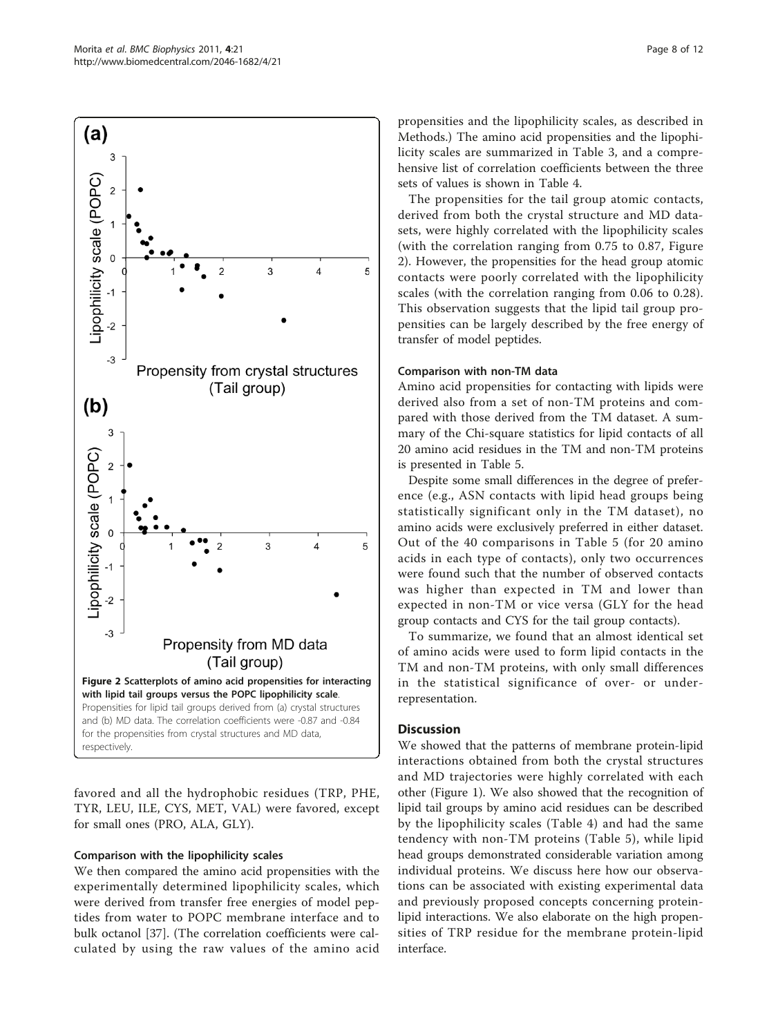propensities and the lipophilicity scales, as described in Methods.) The amino acid propensities and the lipophilicity scales are summarized in Table [3,](#page-6-0) and a comprehensive list of correlation coefficients between the three sets of values is shown in Table [4.](#page-6-0)

The propensities for the tail group atomic contacts, derived from both the crystal structure and MD datasets, were highly correlated with the lipophilicity scales (with the correlation ranging from 0.75 to 0.87, Figure 2). However, the propensities for the head group atomic contacts were poorly correlated with the lipophilicity scales (with the correlation ranging from 0.06 to 0.28). This observation suggests that the lipid tail group propensities can be largely described by the free energy of transfer of model peptides.

#### Comparison with non-TM data

Amino acid propensities for contacting with lipids were derived also from a set of non-TM proteins and compared with those derived from the TM dataset. A summary of the Chi-square statistics for lipid contacts of all 20 amino acid residues in the TM and non-TM proteins is presented in Table [5](#page-8-0).

Despite some small differences in the degree of preference (e.g., ASN contacts with lipid head groups being statistically significant only in the TM dataset), no amino acids were exclusively preferred in either dataset. Out of the 40 comparisons in Table [5](#page-8-0) (for 20 amino acids in each type of contacts), only two occurrences were found such that the number of observed contacts was higher than expected in TM and lower than expected in non-TM or vice versa (GLY for the head group contacts and CYS for the tail group contacts).

To summarize, we found that an almost identical set of amino acids were used to form lipid contacts in the TM and non-TM proteins, with only small differences in the statistical significance of over- or underrepresentation.

# **Discussion**

We showed that the patterns of membrane protein-lipid interactions obtained from both the crystal structures and MD trajectories were highly correlated with each other (Figure [1\)](#page-5-0). We also showed that the recognition of lipid tail groups by amino acid residues can be described by the lipophilicity scales (Table [4\)](#page-6-0) and had the same tendency with non-TM proteins (Table [5\)](#page-8-0), while lipid head groups demonstrated considerable variation among individual proteins. We discuss here how our observations can be associated with existing experimental data and previously proposed concepts concerning proteinlipid interactions. We also elaborate on the high propensities of TRP residue for the membrane protein-lipid interface.



#### Comparison with the lipophilicity scales

We then compared the amino acid propensities with the experimentally determined lipophilicity scales, which were derived from transfer free energies of model peptides from water to POPC membrane interface and to bulk octanol [[37](#page-11-0)]. (The correlation coefficients were calculated by using the raw values of the amino acid

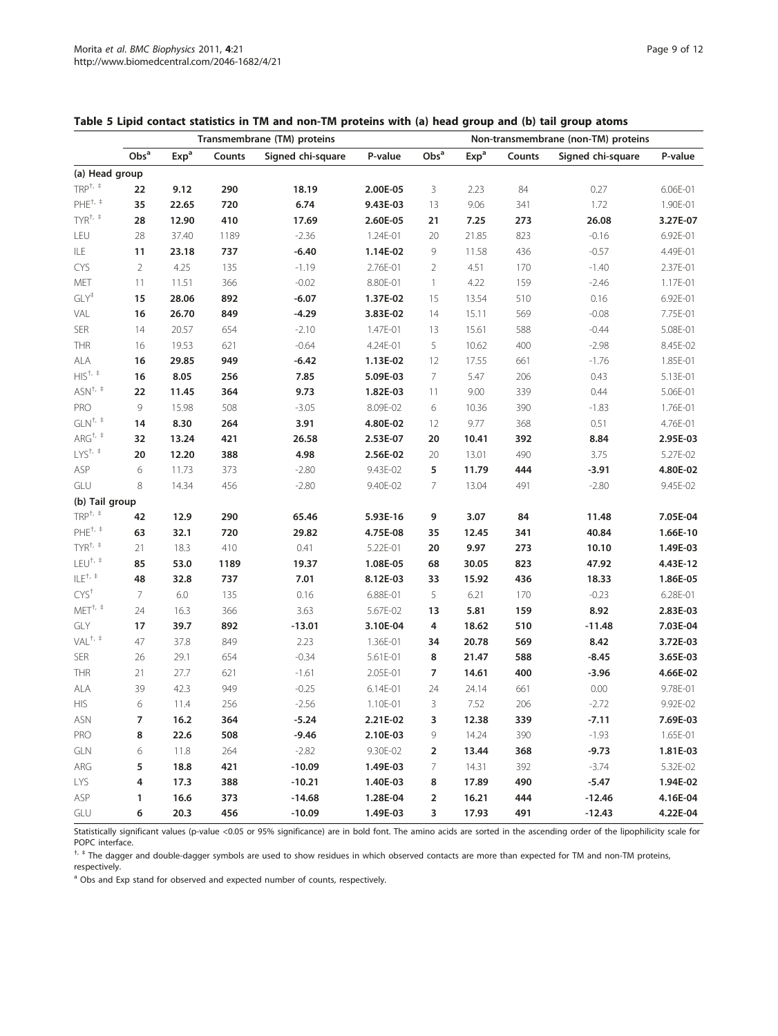<span id="page-8-0"></span>

| Table 5 Lipid contact statistics in TM and non-TM proteins with (a) head group and (b) tail group atoms |  |  |  |
|---------------------------------------------------------------------------------------------------------|--|--|--|
|---------------------------------------------------------------------------------------------------------|--|--|--|

|                                                                                   | Transmembrane (TM) proteins |                  |        |                   |          |                  | Non-transmembrane (non-TM) proteins |        |                   |          |  |  |
|-----------------------------------------------------------------------------------|-----------------------------|------------------|--------|-------------------|----------|------------------|-------------------------------------|--------|-------------------|----------|--|--|
|                                                                                   | Obs <sup>a</sup>            | Exp <sup>a</sup> | Counts | Signed chi-square | P-value  | Obs <sup>a</sup> | Exp <sup>a</sup>                    | Counts | Signed chi-square | P-value  |  |  |
| (a) Head group                                                                    |                             |                  |        |                   |          |                  |                                     |        |                   |          |  |  |
| $\ensuremath{\mathsf{T}\mathsf{R}\mathsf{P}}^{\dagger,\ \ensuremath{\mathsf{t}}}$ | 22                          | 9.12             | 290    | 18.19             | 2.00E-05 | 3                | 2.23                                | 84     | 0.27              | 6.06E-01 |  |  |
| $PHE^{+, +}$                                                                      | 35                          | 22.65            | 720    | 6.74              | 9.43E-03 | 13               | 9.06                                | 341    | 1.72              | 1.90E-01 |  |  |
| $T Y R^{+, +}$                                                                    | 28                          | 12.90            | 410    | 17.69             | 2.60E-05 | 21               | 7.25                                | 273    | 26.08             | 3.27E-07 |  |  |
| LEU                                                                               | 28                          | 37.40            | 1189   | $-2.36$           | 1.24E-01 | 20               | 21.85                               | 823    | $-0.16$           | 6.92E-01 |  |  |
| ILE                                                                               | 11                          | 23.18            | 737    | $-6.40$           | 1.14E-02 | 9                | 11.58                               | 436    | $-0.57$           | 4.49E-01 |  |  |
| CYS                                                                               | $\overline{2}$              | 4.25             | 135    | $-1.19$           | 2.76E-01 | $\overline{2}$   | 4.51                                | 170    | $-1.40$           | 2.37E-01 |  |  |
| MET                                                                               | 11                          | 11.51            | 366    | $-0.02$           | 8.80E-01 | $\mathbf{1}$     | 4.22                                | 159    | $-2.46$           | 1.17E-01 |  |  |
| $GLY^{\ddagger}$                                                                  | 15                          | 28.06            | 892    | $-6.07$           | 1.37E-02 | 15               | 13.54                               | 510    | 0.16              | 6.92E-01 |  |  |
| VAL                                                                               | 16                          | 26.70            | 849    | $-4.29$           | 3.83E-02 | 14               | 15.11                               | 569    | $-0.08$           | 7.75E-01 |  |  |
| SER                                                                               | 14                          | 20.57            | 654    | $-2.10$           | 1.47E-01 | 13               | 15.61                               | 588    | $-0.44$           | 5.08E-01 |  |  |
| THR                                                                               | 16                          | 19.53            | 621    | $-0.64$           | 4.24E-01 | 5                | 10.62                               | 400    | $-2.98$           | 8.45E-02 |  |  |
| ALA                                                                               | 16                          | 29.85            | 949    | $-6.42$           | 1.13E-02 | 12               | 17.55                               | 661    | $-1.76$           | 1.85E-01 |  |  |
| $HIS^{+, +}$                                                                      | 16                          | 8.05             | 256    | 7.85              | 5.09E-03 | 7                | 5.47                                | 206    | 0.43              | 5.13E-01 |  |  |
| $ASN^{^{\dagger, +}}$                                                             | 22                          | 11.45            | 364    | 9.73              | 1.82E-03 | 11               | 9.00                                | 339    | 0.44              | 5.06E-01 |  |  |
| PRO                                                                               | 9                           | 15.98            | 508    | $-3.05$           | 8.09E-02 | 6                | 10.36                               | 390    | $-1.83$           | 1.76E-01 |  |  |
| $GLN^{+,+}$                                                                       | 14                          | 8.30             | 264    | 3.91              | 4.80E-02 | 12               | 9.77                                | 368    | 0.51              | 4.76E-01 |  |  |
| ARG <sup>†, †</sup>                                                               | 32                          | 13.24            | 421    | 26.58             | 2.53E-07 | 20               | 10.41                               | 392    | 8.84              | 2.95E-03 |  |  |
| $LYS^{+, +}$                                                                      | 20                          | 12.20            | 388    | 4.98              | 2.56E-02 | 20               | 13.01                               | 490    | 3.75              | 5.27E-02 |  |  |
| ASP                                                                               | 6                           | 11.73            | 373    | $-2.80$           | 9.43E-02 | 5                | 11.79                               | 444    | $-3.91$           | 4.80E-02 |  |  |
| GLU                                                                               | 8                           | 14.34            | 456    | $-2.80$           | 9.40E-02 | 7                | 13.04                               | 491    | $-2.80$           | 9.45E-02 |  |  |
| (b) Tail group                                                                    |                             |                  |        |                   |          |                  |                                     |        |                   |          |  |  |
| $TRP^{+, +}$                                                                      | 42                          | 12.9             | 290    | 65.46             | 5.93E-16 | 9                | 3.07                                | 84     | 11.48             | 7.05E-04 |  |  |
| $PHE^{+, +}$                                                                      | 63                          | 32.1             | 720    | 29.82             | 4.75E-08 | 35               | 12.45                               | 341    | 40.84             | 1.66E-10 |  |  |
| $T Y R^{t, t}$                                                                    | 21                          | 18.3             | 410    | 0.41              | 5.22E-01 | 20               | 9.97                                | 273    | 10.10             | 1.49E-03 |  |  |
| $LEU^{\dagger, \; \ddagger}$                                                      | 85                          | 53.0             | 1189   | 19.37             | 1.08E-05 | 68               | 30.05                               | 823    | 47.92             | 4.43E-12 |  |  |
| $ILE^{+, +}$                                                                      | 48                          | 32.8             | 737    | 7.01              | 8.12E-03 | 33               | 15.92                               | 436    | 18.33             | 1.86E-05 |  |  |
| CYS <sup>†</sup>                                                                  | $\overline{7}$              | 6.0              | 135    | 0.16              | 6.88E-01 | 5                | 6.21                                | 170    | $-0.23$           | 6.28E-01 |  |  |
| $MET^{t,+}$                                                                       | 24                          | 16.3             | 366    | 3.63              | 5.67E-02 | 13               | 5.81                                | 159    | 8.92              | 2.83E-03 |  |  |
| GLY                                                                               | 17                          | 39.7             | 892    | $-13.01$          | 3.10E-04 | 4                | 18.62                               | 510    | $-11.48$          | 7.03E-04 |  |  |
| $VAL^{+, +}$                                                                      | 47                          | 37.8             | 849    | 2.23              | 1.36E-01 | 34               | 20.78                               | 569    | 8.42              | 3.72E-03 |  |  |
| <b>SER</b>                                                                        | 26                          | 29.1             | 654    | $-0.34$           | 5.61E-01 | 8                | 21.47                               | 588    | $-8.45$           | 3.65E-03 |  |  |
| THR                                                                               | 21                          | 27.7             | 621    | $-1.61$           | 2.05E-01 | 7                | 14.61                               | 400    | $-3.96$           | 4.66E-02 |  |  |
| ALA                                                                               | 39                          | 42.3             | 949    | $-0.25$           | 6.14E-01 | 24               | 24.14                               | 661    | 0.00              | 9.78E-01 |  |  |
| HIS                                                                               | 6                           | 11.4             | 256    | $-2.56$           | 1.10E-01 | 3                | 7.52                                | 206    | $-2.72$           | 9.92E-02 |  |  |
| <b>ASN</b>                                                                        | 7                           | 16.2             | 364    | $-5.24$           | 2.21E-02 | 3                | 12.38                               | 339    | $-7.11$           | 7.69E-03 |  |  |
| PRO                                                                               | 8                           | 22.6             | 508    | $-9.46$           | 2.10E-03 | 9                | 14.24                               | 390    | $-1.93$           | 1.65E-01 |  |  |
| GLN                                                                               | 6                           | 11.8             | 264    | $-2.82$           | 9.30E-02 | $\overline{2}$   | 13.44                               | 368    | $-9.73$           | 1.81E-03 |  |  |
| ARG                                                                               | 5                           | 18.8             | 421    | $-10.09$          | 1.49E-03 | 7                | 14.31                               | 392    | $-3.74$           | 5.32E-02 |  |  |
| <b>LYS</b>                                                                        | 4                           | 17.3             | 388    | $-10.21$          | 1.40E-03 | 8                | 17.89                               | 490    | $-5.47$           | 1.94E-02 |  |  |
| ASP                                                                               | 1                           | 16.6             | 373    | $-14.68$          | 1.28E-04 | $\overline{2}$   | 16.21                               | 444    | $-12.46$          | 4.16E-04 |  |  |
| GLU                                                                               | 6                           | 20.3             | 456    | $-10.09$          | 1.49E-03 | 3                | 17.93                               | 491    | $-12.43$          | 4.22E-04 |  |  |

Statistically significant values (p-value <0.05 or 95% significance) are in bold font. The amino acids are sorted in the ascending order of the lipophilicity scale for POPC interface.

t, # The dagger and double-dagger symbols are used to show residues in which observed contacts are more than expected for TM and non-TM proteins, respectively.

<sup>a</sup> Obs and Exp stand for observed and expected number of counts, respectively.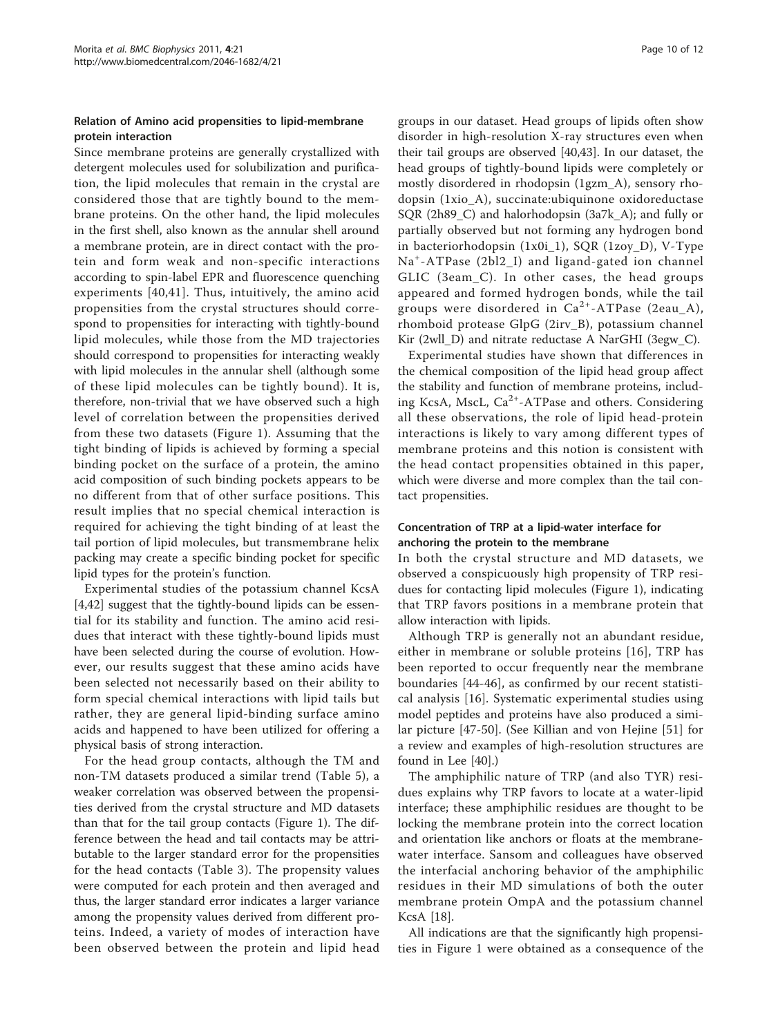#### Relation of Amino acid propensities to lipid-membrane protein interaction

Since membrane proteins are generally crystallized with detergent molecules used for solubilization and purification, the lipid molecules that remain in the crystal are considered those that are tightly bound to the membrane proteins. On the other hand, the lipid molecules in the first shell, also known as the annular shell around a membrane protein, are in direct contact with the protein and form weak and non-specific interactions according to spin-label EPR and fluorescence quenching experiments [[40,41](#page-11-0)]. Thus, intuitively, the amino acid propensities from the crystal structures should correspond to propensities for interacting with tightly-bound lipid molecules, while those from the MD trajectories should correspond to propensities for interacting weakly with lipid molecules in the annular shell (although some of these lipid molecules can be tightly bound). It is, therefore, non-trivial that we have observed such a high level of correlation between the propensities derived from these two datasets (Figure [1\)](#page-5-0). Assuming that the tight binding of lipids is achieved by forming a special binding pocket on the surface of a protein, the amino acid composition of such binding pockets appears to be no different from that of other surface positions. This result implies that no special chemical interaction is required for achieving the tight binding of at least the tail portion of lipid molecules, but transmembrane helix packing may create a specific binding pocket for specific lipid types for the protein's function.

Experimental studies of the potassium channel KcsA [[4,](#page-10-0)[42\]](#page-11-0) suggest that the tightly-bound lipids can be essential for its stability and function. The amino acid residues that interact with these tightly-bound lipids must have been selected during the course of evolution. However, our results suggest that these amino acids have been selected not necessarily based on their ability to form special chemical interactions with lipid tails but rather, they are general lipid-binding surface amino acids and happened to have been utilized for offering a physical basis of strong interaction.

For the head group contacts, although the TM and non-TM datasets produced a similar trend (Table [5](#page-8-0)), a weaker correlation was observed between the propensities derived from the crystal structure and MD datasets than that for the tail group contacts (Figure [1\)](#page-5-0). The difference between the head and tail contacts may be attributable to the larger standard error for the propensities for the head contacts (Table [3](#page-6-0)). The propensity values were computed for each protein and then averaged and thus, the larger standard error indicates a larger variance among the propensity values derived from different proteins. Indeed, a variety of modes of interaction have been observed between the protein and lipid head

groups in our dataset. Head groups of lipids often show disorder in high-resolution X-ray structures even when their tail groups are observed [\[40,43\]](#page-11-0). In our dataset, the head groups of tightly-bound lipids were completely or mostly disordered in rhodopsin (1gzm\_A), sensory rhodopsin (1xio\_A), succinate:ubiquinone oxidoreductase SQR (2h89\_C) and halorhodopsin (3a7k\_A); and fully or partially observed but not forming any hydrogen bond in bacteriorhodopsin (1x0i\_1), SQR (1zoy\_D), V-Type Na<sup>+</sup> -ATPase (2bl2\_I) and ligand-gated ion channel GLIC (3eam\_C). In other cases, the head groups appeared and formed hydrogen bonds, while the tail groups were disordered in  $Ca^{2+}-ATP$ ase (2eau\_A), rhomboid protease GlpG (2irv\_B), potassium channel Kir (2wll D) and nitrate reductase A NarGHI (3egw C).

Experimental studies have shown that differences in the chemical composition of the lipid head group affect the stability and function of membrane proteins, including KcsA, MscL,  $Ca^{2+}$ -ATPase and others. Considering all these observations, the role of lipid head-protein interactions is likely to vary among different types of membrane proteins and this notion is consistent with the head contact propensities obtained in this paper, which were diverse and more complex than the tail contact propensities.

# Concentration of TRP at a lipid-water interface for anchoring the protein to the membrane

In both the crystal structure and MD datasets, we observed a conspicuously high propensity of TRP residues for contacting lipid molecules (Figure [1\)](#page-5-0), indicating that TRP favors positions in a membrane protein that allow interaction with lipids.

Although TRP is generally not an abundant residue, either in membrane or soluble proteins [[16](#page-10-0)], TRP has been reported to occur frequently near the membrane boundaries [\[44](#page-11-0)-[46\]](#page-11-0), as confirmed by our recent statistical analysis [[16\]](#page-10-0). Systematic experimental studies using model peptides and proteins have also produced a similar picture [[47-50\]](#page-11-0). (See Killian and von Hejine [\[51](#page-11-0)] for a review and examples of high-resolution structures are found in Lee [[40](#page-11-0)].)

The amphiphilic nature of TRP (and also TYR) residues explains why TRP favors to locate at a water-lipid interface; these amphiphilic residues are thought to be locking the membrane protein into the correct location and orientation like anchors or floats at the membranewater interface. Sansom and colleagues have observed the interfacial anchoring behavior of the amphiphilic residues in their MD simulations of both the outer membrane protein OmpA and the potassium channel KcsA [[18](#page-10-0)].

All indications are that the significantly high propensities in Figure [1](#page-5-0) were obtained as a consequence of the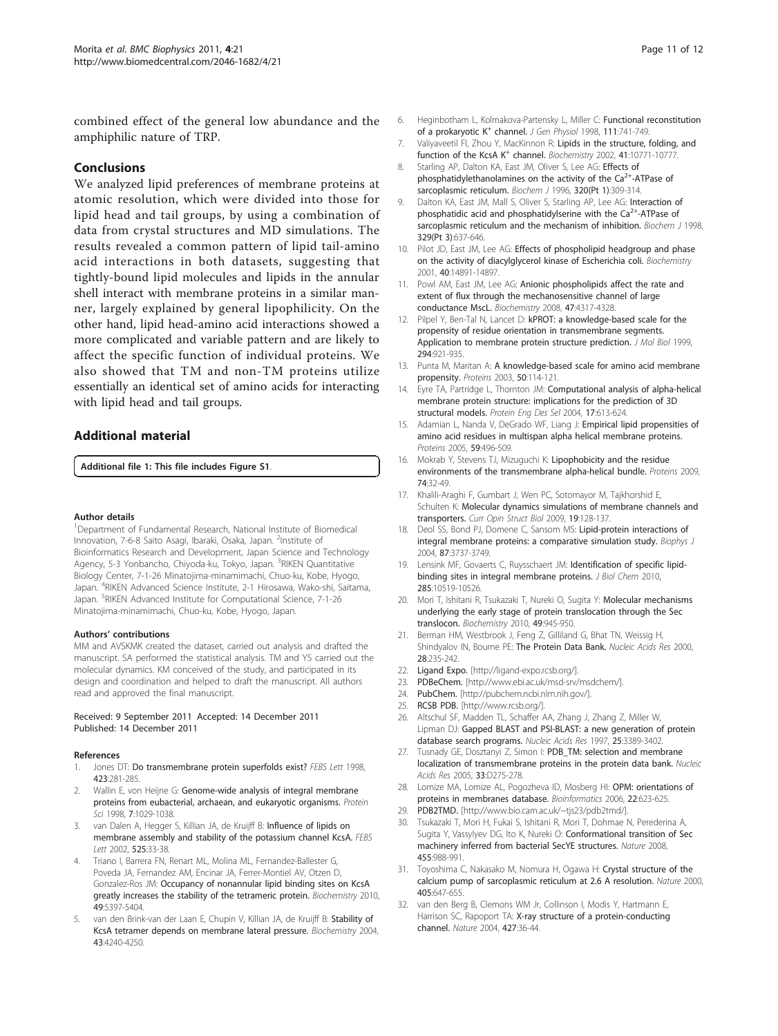<span id="page-10-0"></span>combined effect of the general low abundance and the amphiphilic nature of TRP.

#### Conclusions

We analyzed lipid preferences of membrane proteins at atomic resolution, which were divided into those for lipid head and tail groups, by using a combination of data from crystal structures and MD simulations. The results revealed a common pattern of lipid tail-amino acid interactions in both datasets, suggesting that tightly-bound lipid molecules and lipids in the annular shell interact with membrane proteins in a similar manner, largely explained by general lipophilicity. On the other hand, lipid head-amino acid interactions showed a more complicated and variable pattern and are likely to affect the specific function of individual proteins. We also showed that TM and non-TM proteins utilize essentially an identical set of amino acids for interacting with lipid head and tail groups.

#### Additional material

[Additional file 1: T](http://www.biomedcentral.com/content/supplementary/2046-1682-4-21-S1.PDF)his file includes Figure S1.

#### Author details

<sup>1</sup>Department of Fundamental Research, National Institute of Biomedical Innovation, 7-6-8 Saito Asagi, Ibaraki, Osaka, Japan. <sup>2</sup>Institute of Bioinformatics Research and Development, Japan Science and Technology Agency, 5-3 Yonbancho, Chiyoda-ku, Tokyo, Japan. <sup>3</sup>RIKEN Quantitative Biology Center, 7-1-26 Minatojima-minamimachi, Chuo-ku, Kobe, Hyogo, Japan. <sup>4</sup> RIKEN Advanced Science Institute, 2-1 Hirosawa, Wako-shi, Saitama, Japan. <sup>5</sup>RIKEN Advanced Institute for Computational Science, 7-1-26 Minatojima-minamimachi, Chuo-ku, Kobe, Hyogo, Japan.

#### Authors' contributions

MM and AVSKMK created the dataset, carried out analysis and drafted the manuscript. SA performed the statistical analysis. TM and YS carried out the molecular dynamics. KM conceived of the study, and participated in its design and coordination and helped to draft the manuscript. All authors read and approved the final manuscript.

#### Received: 9 September 2011 Accepted: 14 December 2011 Published: 14 December 2011

#### References

- 1. Jones DT: [Do transmembrane protein superfolds exist?](http://www.ncbi.nlm.nih.gov/pubmed/9515724?dopt=Abstract) FEBS Lett 1998, 423:281-285.
- 2. Wallin E, von Heijne G: [Genome-wide analysis of integral membrane](http://www.ncbi.nlm.nih.gov/pubmed/9568909?dopt=Abstract) [proteins from eubacterial, archaean, and eukaryotic organisms.](http://www.ncbi.nlm.nih.gov/pubmed/9568909?dopt=Abstract) Protein Sci 1998, 7:1029-1038.
- van Dalen A, Hegger S, Killian JA, de Kruijff B: [Influence of lipids on](http://www.ncbi.nlm.nih.gov/pubmed/12163157?dopt=Abstract) [membrane assembly and stability of the potassium channel KcsA.](http://www.ncbi.nlm.nih.gov/pubmed/12163157?dopt=Abstract) FEBS Lett 2002, 525:33-38.
- 4. Triano I, Barrera FN, Renart ML, Molina ML, Fernandez-Ballester G, Poveda JA, Fernandez AM, Encinar JA, Ferrer-Montiel AV, Otzen D, Gonzalez-Ros JM: [Occupancy of nonannular lipid binding sites on KcsA](http://www.ncbi.nlm.nih.gov/pubmed/20481584?dopt=Abstract) [greatly increases the stability of the tetrameric protein.](http://www.ncbi.nlm.nih.gov/pubmed/20481584?dopt=Abstract) Biochemistry 2010, 49:5397-5404.
- van den Brink-van der Laan E, Chupin V, Killian JA, de Kruijff B: [Stability of](http://www.ncbi.nlm.nih.gov/pubmed/15065868?dopt=Abstract) [KcsA tetramer depends on membrane lateral pressure.](http://www.ncbi.nlm.nih.gov/pubmed/15065868?dopt=Abstract) Biochemistry 2004, 43:4240-4250.
- 6. Heginbotham L, Kolmakova-Partensky L, Miller C: [Functional reconstitution](http://www.ncbi.nlm.nih.gov/pubmed/9607934?dopt=Abstract) [of](http://www.ncbi.nlm.nih.gov/pubmed/9607934?dopt=Abstract) [a](http://www.ncbi.nlm.nih.gov/pubmed/9607934?dopt=Abstract) [prokaryotic](http://www.ncbi.nlm.nih.gov/pubmed/9607934?dopt=Abstract) [K](http://www.ncbi.nlm.nih.gov/pubmed/9607934?dopt=Abstract)<sup>+</sup> [channel.](http://www.ncbi.nlm.nih.gov/pubmed/9607934?dopt=Abstract) J Gen Physiol 1998, 111:741-749.
- 7. Valiyaveetil FI, Zhou Y, MacKinnon R: [Lipids in the structure, folding, and](http://www.ncbi.nlm.nih.gov/pubmed/12196015?dopt=Abstract) [function](http://www.ncbi.nlm.nih.gov/pubmed/12196015?dopt=Abstract) [of](http://www.ncbi.nlm.nih.gov/pubmed/12196015?dopt=Abstract) [the](http://www.ncbi.nlm.nih.gov/pubmed/12196015?dopt=Abstract) [KcsA](http://www.ncbi.nlm.nih.gov/pubmed/12196015?dopt=Abstract) [K](http://www.ncbi.nlm.nih.gov/pubmed/12196015?dopt=Abstract)<sup>+</sup> [channel.](http://www.ncbi.nlm.nih.gov/pubmed/12196015?dopt=Abstract) Biochemistry 2002, 41:10771-10777.
- 8. Starling AP, Dalton KA, Fast JM, Oliver S, Lee AG: [Effects of](http://www.ncbi.nlm.nih.gov/pubmed/8947502?dopt=Abstract) [phosphatidylethanolamines](http://www.ncbi.nlm.nih.gov/pubmed/8947502?dopt=Abstract) [on](http://www.ncbi.nlm.nih.gov/pubmed/8947502?dopt=Abstract) [the](http://www.ncbi.nlm.nih.gov/pubmed/8947502?dopt=Abstract) [activity](http://www.ncbi.nlm.nih.gov/pubmed/8947502?dopt=Abstract) [of](http://www.ncbi.nlm.nih.gov/pubmed/8947502?dopt=Abstract) the  $Ca<sup>2+</sup>$  $Ca<sup>2+</sup>$ -ATPase of [sarcoplasmic reticulum.](http://www.ncbi.nlm.nih.gov/pubmed/8947502?dopt=Abstract) Biochem J 1996, 320(Pt 1):309-314.
- 9. Dalton KA, East JM, Mall S, Oliver S, Starling AP, Lee AG: [Interaction of](http://www.ncbi.nlm.nih.gov/pubmed/9445393?dopt=Abstract) [phosphatidic](http://www.ncbi.nlm.nih.gov/pubmed/9445393?dopt=Abstract) [acid](http://www.ncbi.nlm.nih.gov/pubmed/9445393?dopt=Abstract) [and](http://www.ncbi.nlm.nih.gov/pubmed/9445393?dopt=Abstract) [phosphatidylserine](http://www.ncbi.nlm.nih.gov/pubmed/9445393?dopt=Abstract) [with](http://www.ncbi.nlm.nih.gov/pubmed/9445393?dopt=Abstract) [the](http://www.ncbi.nlm.nih.gov/pubmed/9445393?dopt=Abstract)  $Ca^{2+}$  $Ca^{2+}$ -ATPase of [sarcoplasmic reticulum and the mechanism of inhibition.](http://www.ncbi.nlm.nih.gov/pubmed/9445393?dopt=Abstract) Biochem J 1998, 329(Pt 3):637-646.
- 10. Pilot JD, East JM, Lee AG: [Effects of phospholipid headgroup and phase](http://www.ncbi.nlm.nih.gov/pubmed/11732909?dopt=Abstract) [on the activity of diacylglycerol kinase of Escherichia coli.](http://www.ncbi.nlm.nih.gov/pubmed/11732909?dopt=Abstract) Biochemistry 2001, 40:14891-14897.
- 11. Powl AM, East JM, Lee AG: [Anionic phospholipids affect the rate and](http://www.ncbi.nlm.nih.gov/pubmed/18341289?dopt=Abstract) [extent of flux through the mechanosensitive channel of large](http://www.ncbi.nlm.nih.gov/pubmed/18341289?dopt=Abstract) [conductance MscL.](http://www.ncbi.nlm.nih.gov/pubmed/18341289?dopt=Abstract) Biochemistry 2008, 47:4317-4328.
- 12. Pilpel Y, Ben-Tal N, Lancet D: [kPROT: a knowledge-based scale for the](http://www.ncbi.nlm.nih.gov/pubmed/10588897?dopt=Abstract) [propensity of residue orientation in transmembrane segments.](http://www.ncbi.nlm.nih.gov/pubmed/10588897?dopt=Abstract) [Application to membrane protein structure prediction.](http://www.ncbi.nlm.nih.gov/pubmed/10588897?dopt=Abstract) J Mol Biol 1999, 294:921-935.
- 13. Punta M, Maritan A: [A knowledge-based scale for amino acid membrane](http://www.ncbi.nlm.nih.gov/pubmed/12471604?dopt=Abstract) [propensity.](http://www.ncbi.nlm.nih.gov/pubmed/12471604?dopt=Abstract) Proteins 2003, 50:114-121.
- 14. Eyre TA, Partridge L, Thornton JM: [Computational analysis of alpha-helical](http://www.ncbi.nlm.nih.gov/pubmed/15388845?dopt=Abstract) [membrane protein structure: implications for the prediction of 3D](http://www.ncbi.nlm.nih.gov/pubmed/15388845?dopt=Abstract) [structural models.](http://www.ncbi.nlm.nih.gov/pubmed/15388845?dopt=Abstract) Protein Eng Des Sel 2004, 17:613-624.
- 15. Adamian L, Nanda V, DeGrado WF, Liang J: [Empirical lipid propensities of](http://www.ncbi.nlm.nih.gov/pubmed/15789404?dopt=Abstract) [amino acid residues in multispan alpha helical membrane proteins.](http://www.ncbi.nlm.nih.gov/pubmed/15789404?dopt=Abstract) Proteins 2005, 59:496-509.
- 16. Mokrab Y, Stevens TJ, Mizuguchi K: [Lipophobicity and the residue](http://www.ncbi.nlm.nih.gov/pubmed/18561171?dopt=Abstract) [environments of the transmembrane alpha-helical bundle.](http://www.ncbi.nlm.nih.gov/pubmed/18561171?dopt=Abstract) Proteins 2009, 74:32-49.
- 17. Khalili-Araghi F, Gumbart J, Wen PC, Sotomayor M, Tajkhorshid E, Schulten K: [Molecular dynamics simulations of membrane channels and](http://www.ncbi.nlm.nih.gov/pubmed/19345092?dopt=Abstract) [transporters.](http://www.ncbi.nlm.nih.gov/pubmed/19345092?dopt=Abstract) Curr Opin Struct Biol 2009, 19:128-137.
- 18. Deol SS, Bond PJ, Domene C, Sansom MS: [Lipid-protein interactions of](http://www.ncbi.nlm.nih.gov/pubmed/15465855?dopt=Abstract) [integral membrane proteins: a comparative simulation study.](http://www.ncbi.nlm.nih.gov/pubmed/15465855?dopt=Abstract) Biophys J 2004, 87:3737-3749.
- 19. Lensink MF, Govaerts C, Ruysschaert JM: [Identification of specific lipid](http://www.ncbi.nlm.nih.gov/pubmed/20139086?dopt=Abstract)[binding sites in integral membrane proteins.](http://www.ncbi.nlm.nih.gov/pubmed/20139086?dopt=Abstract) J Biol Chem 2010, 285:10519-10526.
- 20. Mori T, Ishitani R, Tsukazaki T, Nureki O, Sugita Y: [Molecular mechanisms](http://www.ncbi.nlm.nih.gov/pubmed/20055474?dopt=Abstract) [underlying the early stage of protein translocation through the Sec](http://www.ncbi.nlm.nih.gov/pubmed/20055474?dopt=Abstract) [translocon.](http://www.ncbi.nlm.nih.gov/pubmed/20055474?dopt=Abstract) Biochemistry 2010, 49:945-950.
- 21. Berman HM, Westbrook J, Feng Z, Gilliland G, Bhat TN, Weissig H, Shindyalov IN, Bourne PE: [The Protein Data Bank.](http://www.ncbi.nlm.nih.gov/pubmed/10592235?dopt=Abstract) Nucleic Acids Res 2000, 28:235-242.
- 22. Ligand Expo. [\[http://ligand-expo.rcsb.org/](http://ligand-expo.rcsb.org/)].
- 23. PDBeChem. [[http://www.ebi.ac.uk/msd-srv/msdchem/\]](http://www.ebi.ac.uk/msd-srv/msdchem/).
- 24. PubChem. [\[http://pubchem.ncbi.nlm.nih.gov/\]](http://pubchem.ncbi.nlm.nih.gov/).
- 25. RCSB PDB. [\[http://www.rcsb.org/](http://www.rcsb.org/)].
- 26. Altschul SF, Madden TL, Schaffer AA, Zhang J, Zhang Z, Miller W, Lipman DJ: [Gapped BLAST and PSI-BLAST: a new generation of protein](http://www.ncbi.nlm.nih.gov/pubmed/9254694?dopt=Abstract) [database search programs.](http://www.ncbi.nlm.nih.gov/pubmed/9254694?dopt=Abstract) Nucleic Acids Res 1997, 25:3389-3402.
- 27. Tusnady GE, Dosztanyi Z, Simon I: PDB TM: selection and membrane [localization of transmembrane proteins in the protein data bank.](http://www.ncbi.nlm.nih.gov/pubmed/15608195?dopt=Abstract) Nucleic Acids Res 2005, 33:D275-278.
- 28. Lomize MA, Lomize AL, Pogozheva ID, Mosberg HI: [OPM: orientations of](http://www.ncbi.nlm.nih.gov/pubmed/16397007?dopt=Abstract) [proteins in membranes database.](http://www.ncbi.nlm.nih.gov/pubmed/16397007?dopt=Abstract) Bioinformatics 2006, 22:623-625.
- 29. PDB2TMD. [<http://www.bio.cam.ac.uk/~tjs23/pdb2tmd/>].
- 30. Tsukazaki T, Mori H, Fukai S, Ishitani R, Mori T, Dohmae N, Perederina A, Sugita Y, Vassylyev DG, Ito K, Nureki O: [Conformational transition of Sec](http://www.ncbi.nlm.nih.gov/pubmed/18923527?dopt=Abstract) [machinery inferred from bacterial SecYE structures.](http://www.ncbi.nlm.nih.gov/pubmed/18923527?dopt=Abstract) Nature 2008, 455:988-991.
- 31. Toyoshima C, Nakasako M, Nomura H, Ogawa H: [Crystal structure of the](http://www.ncbi.nlm.nih.gov/pubmed/10864315?dopt=Abstract) [calcium pump of sarcoplasmic reticulum at 2.6 A resolution.](http://www.ncbi.nlm.nih.gov/pubmed/10864315?dopt=Abstract) Nature 2000, 405:647-655.
- van den Berg B, Clemons WM Jr, Collinson I, Modis Y, Hartmann E, Harrison SC, Rapoport TA: [X-ray structure of a protein-conducting](http://www.ncbi.nlm.nih.gov/pubmed/14661030?dopt=Abstract) [channel.](http://www.ncbi.nlm.nih.gov/pubmed/14661030?dopt=Abstract) Nature 2004, 427:36-44.